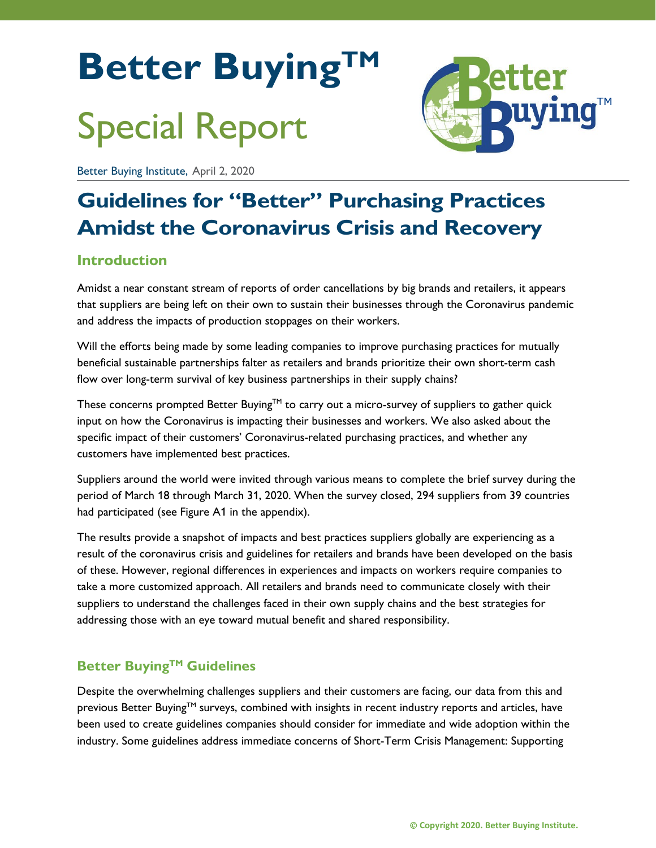# **Better BuyingTM** Special Report



Better Buying Institute, April 2, 2020

# **Guidelines for "Better" Purchasing Practices Amidst the Coronavirus Crisis and Recovery**

# **Introduction**

Amidst a near constant stream of reports of order cancellations by big brands and retailers, it appears that suppliers are being left on their own to sustain their businesses through the Coronavirus pandemic and address the impacts of production stoppages on their workers.

Will the efforts being made by some leading companies to improve purchasing practices for mutually beneficial sustainable partnerships falter as retailers and brands prioritize their own short-term cash flow over long-term survival of key business partnerships in their supply chains?

These concerns prompted Better Buying™ to carry out a micro-survey of suppliers to gather quick input on how the Coronavirus is impacting their businesses and workers. We also asked about the specific impact of their customers' Coronavirus-related purchasing practices, and whether any customers have implemented best practices.

Suppliers around the world were invited through various means to complete the brief survey during the period of March 18 through March 31, 2020. When the survey closed, 294 suppliers from 39 countries had participated (see Figure A1 in the appendix).

The results provide a snapshot of impacts and best practices suppliers globally are experiencing as a result of the coronavirus crisis and guidelines for retailers and brands have been developed on the basis of these. However, regional differences in experiences and impacts on workers require companies to take a more customized approach. All retailers and brands need to communicate closely with their suppliers to understand the challenges faced in their own supply chains and the best strategies for addressing those with an eye toward mutual benefit and shared responsibility.

# **Better BuyingTM Guidelines**

Despite the overwhelming challenges suppliers and their customers are facing, our data from this and previous Better Buying<sup>TM</sup> surveys, combined with insights in recent industry reports and articles, have been used to create guidelines companies should consider for immediate and wide adoption within the industry. Some guidelines address immediate concerns of Short-Term Crisis Management: Supporting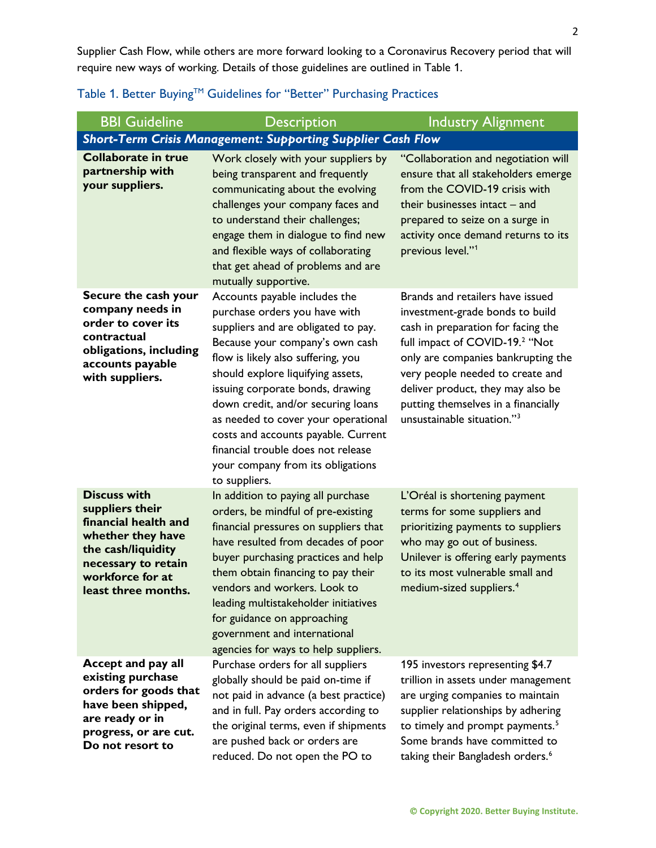Supplier Cash Flow, while others are more forward looking to a Coronavirus Recovery period that will require new ways of working. Details of those guidelines are outlined in Table 1.

| <b>BBI Guideline</b>                                                                                                                                                        | <b>Description</b>                                                                                                                                                                                                                                                                                                                                                                                                                                                      | <b>Industry Alignment</b>                                                                                                                                                                                                                                                                                                                               |  |
|-----------------------------------------------------------------------------------------------------------------------------------------------------------------------------|-------------------------------------------------------------------------------------------------------------------------------------------------------------------------------------------------------------------------------------------------------------------------------------------------------------------------------------------------------------------------------------------------------------------------------------------------------------------------|---------------------------------------------------------------------------------------------------------------------------------------------------------------------------------------------------------------------------------------------------------------------------------------------------------------------------------------------------------|--|
| <b>Short-Term Crisis Management: Supporting Supplier Cash Flow</b>                                                                                                          |                                                                                                                                                                                                                                                                                                                                                                                                                                                                         |                                                                                                                                                                                                                                                                                                                                                         |  |
| <b>Collaborate in true</b><br>partnership with<br>your suppliers.                                                                                                           | Work closely with your suppliers by<br>being transparent and frequently<br>communicating about the evolving<br>challenges your company faces and<br>to understand their challenges;<br>engage them in dialogue to find new<br>and flexible ways of collaborating<br>that get ahead of problems and are<br>mutually supportive.                                                                                                                                          | "Collaboration and negotiation will<br>ensure that all stakeholders emerge<br>from the COVID-19 crisis with<br>their businesses intact $-$ and<br>prepared to seize on a surge in<br>activity once demand returns to its<br>previous level."1                                                                                                           |  |
| Secure the cash your<br>company needs in<br>order to cover its<br>contractual<br>obligations, including<br>accounts payable<br>with suppliers.                              | Accounts payable includes the<br>purchase orders you have with<br>suppliers and are obligated to pay.<br>Because your company's own cash<br>flow is likely also suffering, you<br>should explore liquifying assets,<br>issuing corporate bonds, drawing<br>down credit, and/or securing loans<br>as needed to cover your operational<br>costs and accounts payable. Current<br>financial trouble does not release<br>your company from its obligations<br>to suppliers. | Brands and retailers have issued<br>investment-grade bonds to build<br>cash in preparation for facing the<br>full impact of COVID-19. <sup>2</sup> "Not<br>only are companies bankrupting the<br>very people needed to create and<br>deliver product, they may also be<br>putting themselves in a financially<br>unsustainable situation." <sup>3</sup> |  |
| <b>Discuss with</b><br>suppliers their<br>financial health and<br>whether they have<br>the cash/liquidity<br>necessary to retain<br>workforce for at<br>least three months. | In addition to paying all purchase<br>orders, be mindful of pre-existing<br>financial pressures on suppliers that<br>have resulted from decades of poor<br>buyer purchasing practices and help<br>them obtain financing to pay their<br>vendors and workers. Look to<br>leading multistakeholder initiatives<br>for guidance on approaching<br>government and international<br>agencies for ways to help suppliers.                                                     | L'Oréal is shortening payment<br>terms for some suppliers and<br>prioritizing payments to suppliers<br>who may go out of business.<br>Unilever is offering early payments<br>to its most vulnerable small and<br>medium-sized suppliers. <sup>4</sup>                                                                                                   |  |
| Accept and pay all<br>existing purchase<br>orders for goods that<br>have been shipped,<br>are ready or in<br>progress, or are cut.<br>Do not resort to                      | Purchase orders for all suppliers<br>globally should be paid on-time if<br>not paid in advance (a best practice)<br>and in full. Pay orders according to<br>the original terms, even if shipments<br>are pushed back or orders are<br>reduced. Do not open the PO to                                                                                                                                                                                                    | 195 investors representing \$4.7<br>trillion in assets under management<br>are urging companies to maintain<br>supplier relationships by adhering<br>to timely and prompt payments. <sup>5</sup><br>Some brands have committed to<br>taking their Bangladesh orders. <sup>6</sup>                                                                       |  |

### Table 1. Better Buying™ Guidelines for "Better" Purchasing Practices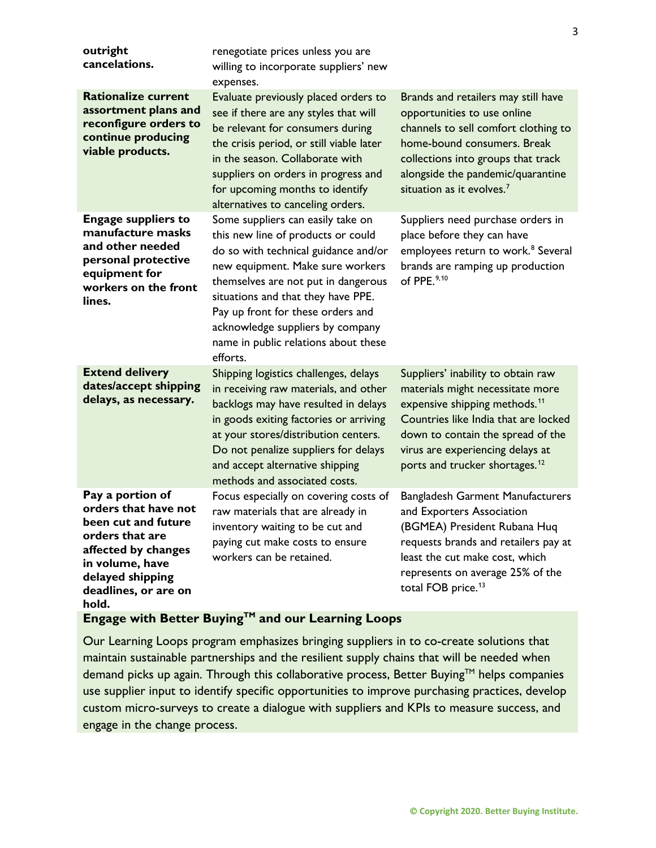| outright<br>cancelations.                                                                                                                                                         | renegotiate prices unless you are<br>willing to incorporate suppliers' new<br>expenses.                                                                                                                                                                                                                                                                       |                                                                                                                                                                                                                                                                                    |
|-----------------------------------------------------------------------------------------------------------------------------------------------------------------------------------|---------------------------------------------------------------------------------------------------------------------------------------------------------------------------------------------------------------------------------------------------------------------------------------------------------------------------------------------------------------|------------------------------------------------------------------------------------------------------------------------------------------------------------------------------------------------------------------------------------------------------------------------------------|
| <b>Rationalize current</b><br>assortment plans and<br>reconfigure orders to<br>continue producing<br>viable products.                                                             | Evaluate previously placed orders to<br>see if there are any styles that will<br>be relevant for consumers during<br>the crisis period, or still viable later<br>in the season. Collaborate with<br>suppliers on orders in progress and<br>for upcoming months to identify<br>alternatives to canceling orders.                                               | Brands and retailers may still have<br>opportunities to use online<br>channels to sell comfort clothing to<br>home-bound consumers. Break<br>collections into groups that track<br>alongside the pandemic/quarantine<br>situation as it evolves. $7$                               |
| <b>Engage suppliers to</b><br>manufacture masks<br>and other needed<br>personal protective<br>equipment for<br>workers on the front<br>lines.                                     | Some suppliers can easily take on<br>this new line of products or could<br>do so with technical guidance and/or<br>new equipment. Make sure workers<br>themselves are not put in dangerous<br>situations and that they have PPE.<br>Pay up front for these orders and<br>acknowledge suppliers by company<br>name in public relations about these<br>efforts. | Suppliers need purchase orders in<br>place before they can have<br>employees return to work. <sup>8</sup> Several<br>brands are ramping up production<br>of PPE. <sup>9,10</sup>                                                                                                   |
| <b>Extend delivery</b><br>dates/accept shipping<br>delays, as necessary.                                                                                                          | Shipping logistics challenges, delays<br>in receiving raw materials, and other<br>backlogs may have resulted in delays<br>in goods exiting factories or arriving<br>at your stores/distribution centers.<br>Do not penalize suppliers for delays<br>and accept alternative shipping<br>methods and associated costs.                                          | Suppliers' inability to obtain raw<br>materials might necessitate more<br>expensive shipping methods. <sup>11</sup><br>Countries like India that are locked<br>down to contain the spread of the<br>virus are experiencing delays at<br>ports and trucker shortages. <sup>12</sup> |
| Pay a portion of<br>orders that have not<br>been cut and future<br>orders that are<br>affected by changes<br>in volume, have<br>delayed shipping<br>deadlines, or are on<br>hold. | Focus especially on covering costs of<br>raw materials that are already in<br>inventory waiting to be cut and<br>paying cut make costs to ensure<br>workers can be retained.                                                                                                                                                                                  | <b>Bangladesh Garment Manufacturers</b><br>and Exporters Association<br>(BGMEA) President Rubana Huq<br>requests brands and retailers pay at<br>least the cut make cost, which<br>represents on average 25% of the<br>total FOB price. <sup>13</sup>                               |

# **Engage with Better Buying™ and our Learning Loops**

Our Learning Loops program emphasizes bringing suppliers in to co-create solutions that maintain sustainable partnerships and the resilient supply chains that will be needed when demand picks up again. Through this collaborative process, Better Buying™ helps companies use supplier input to identify specific opportunities to improve purchasing practices, develop custom micro-surveys to create a dialogue with suppliers and KPIs to measure success, and engage in the change process.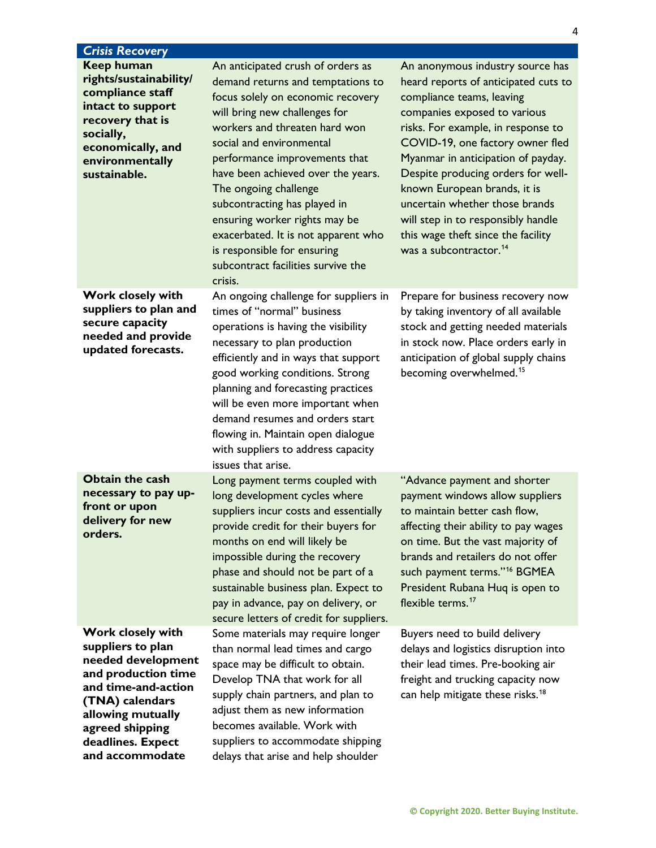| <b>Crisis Recovery</b>                                                                                                                                                                                        |                                                                                                                                                                                                                                                                                                                                                                                                                                                                                                   |                                                                                                                                                                                                                                                                                                                                                                                                                                                                                 |
|---------------------------------------------------------------------------------------------------------------------------------------------------------------------------------------------------------------|---------------------------------------------------------------------------------------------------------------------------------------------------------------------------------------------------------------------------------------------------------------------------------------------------------------------------------------------------------------------------------------------------------------------------------------------------------------------------------------------------|---------------------------------------------------------------------------------------------------------------------------------------------------------------------------------------------------------------------------------------------------------------------------------------------------------------------------------------------------------------------------------------------------------------------------------------------------------------------------------|
| <b>Keep human</b><br>rights/sustainability/<br>compliance staff<br>intact to support<br>recovery that is<br>socially,<br>economically, and<br>environmentally<br>sustainable.                                 | An anticipated crush of orders as<br>demand returns and temptations to<br>focus solely on economic recovery<br>will bring new challenges for<br>workers and threaten hard won<br>social and environmental<br>performance improvements that<br>have been achieved over the years.<br>The ongoing challenge<br>subcontracting has played in<br>ensuring worker rights may be<br>exacerbated. It is not apparent who<br>is responsible for ensuring<br>subcontract facilities survive the<br>crisis. | An anonymous industry source has<br>heard reports of anticipated cuts to<br>compliance teams, leaving<br>companies exposed to various<br>risks. For example, in response to<br>COVID-19, one factory owner fled<br>Myanmar in anticipation of payday.<br>Despite producing orders for well-<br>known European brands, it is<br>uncertain whether those brands<br>will step in to responsibly handle<br>this wage theft since the facility<br>was a subcontractor. <sup>14</sup> |
| <b>Work closely with</b><br>suppliers to plan and<br>secure capacity<br>needed and provide<br>updated forecasts.                                                                                              | An ongoing challenge for suppliers in<br>times of "normal" business<br>operations is having the visibility<br>necessary to plan production<br>efficiently and in ways that support<br>good working conditions. Strong<br>planning and forecasting practices<br>will be even more important when<br>demand resumes and orders start<br>flowing in. Maintain open dialogue<br>with suppliers to address capacity<br>issues that arise.                                                              | Prepare for business recovery now<br>by taking inventory of all available<br>stock and getting needed materials<br>in stock now. Place orders early in<br>anticipation of global supply chains<br>becoming overwhelmed. <sup>15</sup>                                                                                                                                                                                                                                           |
| <b>Obtain the cash</b><br>necessary to pay up-<br>front or upon<br>delivery for new<br>orders.                                                                                                                | Long payment terms coupled with<br>long development cycles where<br>suppliers incur costs and essentially<br>provide credit for their buyers for<br>months on end will likely be<br>impossible during the recovery<br>phase and should not be part of a<br>sustainable business plan. Expect to<br>pay in advance, pay on delivery, or<br>secure letters of credit for suppliers.                                                                                                                 | "Advance payment and shorter<br>payment windows allow suppliers<br>to maintain better cash flow,<br>affecting their ability to pay wages<br>on time. But the vast majority of<br>brands and retailers do not offer<br>such payment terms." <sup>16</sup> BGMEA<br>President Rubana Huq is open to<br>flexible terms. <sup>17</sup>                                                                                                                                              |
| Work closely with<br>suppliers to plan<br>needed development<br>and production time<br>and time-and-action<br>(TNA) calendars<br>allowing mutually<br>agreed shipping<br>deadlines. Expect<br>and accommodate | Some materials may require longer<br>than normal lead times and cargo<br>space may be difficult to obtain.<br>Develop TNA that work for all<br>supply chain partners, and plan to<br>adjust them as new information<br>becomes available. Work with<br>suppliers to accommodate shipping<br>delays that arise and help shoulder                                                                                                                                                                   | Buyers need to build delivery<br>delays and logistics disruption into<br>their lead times. Pre-booking air<br>freight and trucking capacity now<br>can help mitigate these risks. <sup>18</sup>                                                                                                                                                                                                                                                                                 |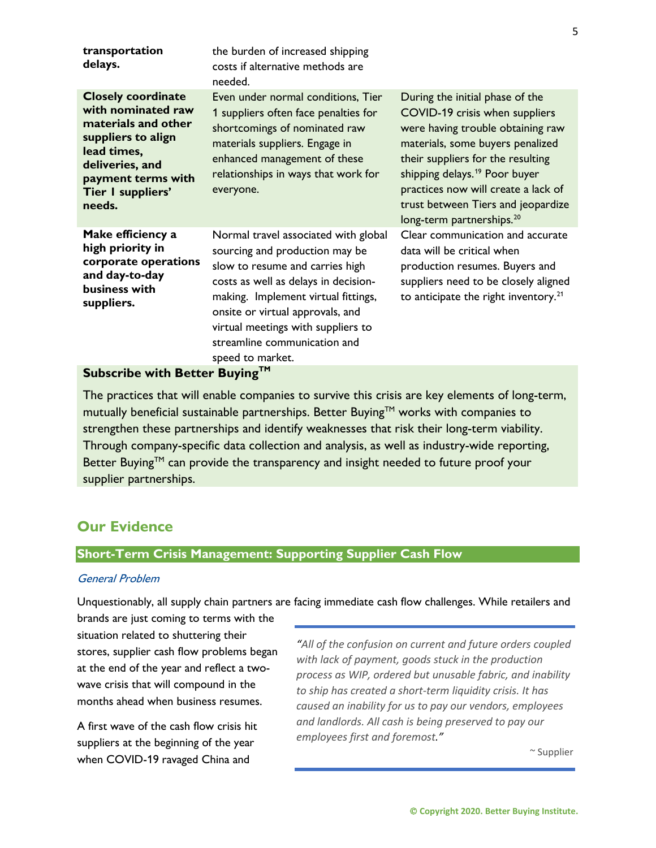| transportation<br>delays.                                                                                                                                                           | the burden of increased shipping<br>costs if alternative methods are<br>needed.                                                                                                                                                                                                                                        |                                                                                                                                                                                                                                                                                                                                                    |
|-------------------------------------------------------------------------------------------------------------------------------------------------------------------------------------|------------------------------------------------------------------------------------------------------------------------------------------------------------------------------------------------------------------------------------------------------------------------------------------------------------------------|----------------------------------------------------------------------------------------------------------------------------------------------------------------------------------------------------------------------------------------------------------------------------------------------------------------------------------------------------|
| <b>Closely coordinate</b><br>with nominated raw<br>materials and other<br>suppliers to align<br>lead times,<br>deliveries, and<br>payment terms with<br>Tier I suppliers'<br>needs. | Even under normal conditions, Tier<br>1 suppliers often face penalties for<br>shortcomings of nominated raw<br>materials suppliers. Engage in<br>enhanced management of these<br>relationships in ways that work for<br>everyone.                                                                                      | During the initial phase of the<br>COVID-19 crisis when suppliers<br>were having trouble obtaining raw<br>materials, some buyers penalized<br>their suppliers for the resulting<br>shipping delays. <sup>19</sup> Poor buyer<br>practices now will create a lack of<br>trust between Tiers and jeopardize<br>long-term partnerships. <sup>20</sup> |
| Make efficiency a<br>high priority in<br>corporate operations<br>and day-to-day<br>business with<br>suppliers.                                                                      | Normal travel associated with global<br>sourcing and production may be<br>slow to resume and carries high<br>costs as well as delays in decision-<br>making. Implement virtual fittings,<br>onsite or virtual approvals, and<br>virtual meetings with suppliers to<br>streamline communication and<br>speed to market. | Clear communication and accurate<br>data will be critical when<br>production resumes. Buyers and<br>suppliers need to be closely aligned<br>to anticipate the right inventory. $21$                                                                                                                                                                |

# **Subscribe with Better Buying™**

The practices that will enable companies to survive this crisis are key elements of long-term, mutually beneficial sustainable partnerships. Better Buying<sup>TM</sup> works with companies to strengthen these partnerships and identify weaknesses that risk their long-term viability. Through company-specific data collection and analysis, as well as industry-wide reporting, Better Buying<sup>TM</sup> can provide the transparency and insight needed to future proof your supplier partnerships.

# **Our Evidence**

#### **Short-Term Crisis Management: Supporting Supplier Cash Flow**

#### General Problem

Unquestionably, all supply chain partners are facing immediate cash flow challenges. While retailers and

brands are just coming to terms with the situation related to shuttering their stores, supplier cash flow problems began at the end of the year and reflect a twowave crisis that will compound in the months ahead when business resumes.

A first wave of the cash flow crisis hit suppliers at the beginning of the year when COVID-19 ravaged China and

*"All of the confusion on current and future orders coupled with lack of payment, goods stuck in the production process as WIP, ordered but unusable fabric, and inability to ship has created a short-term liquidity crisis. It has caused an inability for us to pay our vendors, employees and landlords. All cash is being preserved to pay our employees first and foremost."* 

 $\sim$  Supplier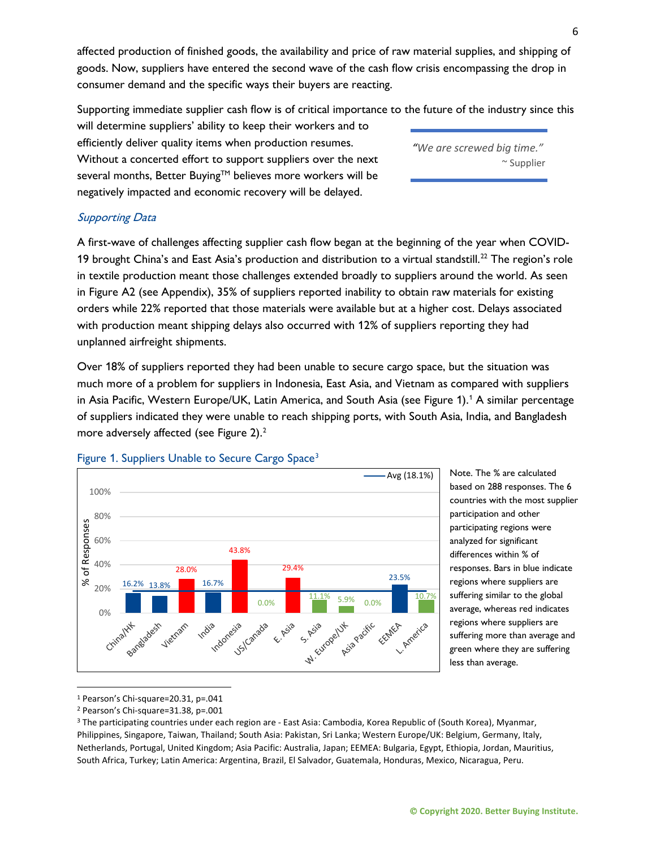affected production of finished goods, the availability and price of raw material supplies, and shipping of goods. Now, suppliers have entered the second wave of the cash flow crisis encompassing the drop in consumer demand and the specific ways their buyers are reacting.

Supporting immediate supplier cash flow is of critical importance to the future of the industry since this

will determine suppliers' ability to keep their workers and to efficiently deliver quality items when production resumes. Without a concerted effort to support suppliers over the next several months, Better Buying™ believes more workers will be negatively impacted and economic recovery will be delayed.

*"We are screwed big time."*  $~\sim$  Supplier

#### Supporting Data

A first-wave of challenges affecting supplier cash flow began at the beginning of the year when COVID-19 brought China's and East Asia's production and distribution to a virtual standstill.<sup>[22](#page-19-6)</sup> The region's role in textile production meant those challenges extended broadly to suppliers around the world. As seen in Figure A2 (see Appendix), 35% of suppliers reported inability to obtain raw materials for existing orders while 22% reported that those materials were available but at a higher cost. Delays associated with production meant shipping delays also occurred with 12% of suppliers reporting they had unplanned airfreight shipments.

Over 18% of suppliers reported they had been unable to secure cargo space, but the situation was much more of a problem for suppliers in Indonesia, East Asia, and Vietnam as compared with suppliers in Asia Pacific, Western Europe/UK, Latin America, and South Asia (see Figure 1). [1](#page-5-0) A similar percentage of suppliers indicated they were unable to reach shipping ports, with South Asia, India, and Bangladesh more adversely affected (see Figure 2).<sup>2</sup>



Note. The % are calculated based on 288 responses. The 6 countries with the most supplier participation and other participating regions were analyzed for significant differences within % of responses. Bars in blue indicate regions where suppliers are suffering similar to the global average, whereas red indicates regions where suppliers are suffering more than average and green where they are suffering less than average.

<span id="page-5-0"></span><sup>1</sup> Pearson's Chi-square=20.31, p=.041

Figure 1. Suppliers Unable to Secure Cargo Space<sup>[3](#page-5-2)</sup>

<span id="page-5-1"></span><sup>2</sup> Pearson's Chi-square=31.38, p=.001

<span id="page-5-2"></span><sup>&</sup>lt;sup>3</sup> The participating countries under each region are - East Asia: Cambodia, Korea Republic of (South Korea), Myanmar, Philippines, Singapore, Taiwan, Thailand; South Asia: Pakistan, Sri Lanka; Western Europe/UK: Belgium, Germany, Italy, Netherlands, Portugal, United Kingdom; Asia Pacific: Australia, Japan; EEMEA: Bulgaria, Egypt, Ethiopia, Jordan, Mauritius, South Africa, Turkey; Latin America: Argentina, Brazil, El Salvador, Guatemala, Honduras, Mexico, Nicaragua, Peru.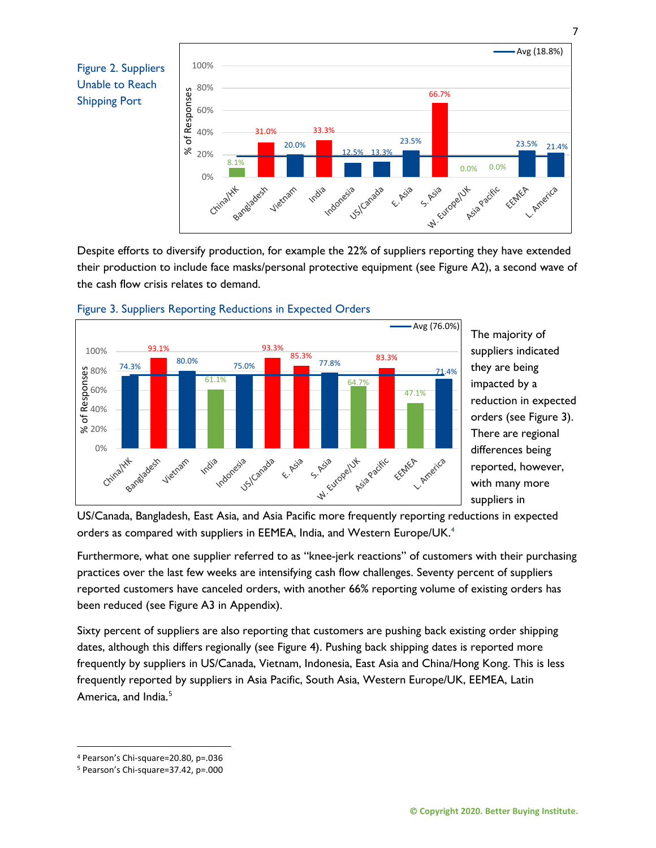



Despite efforts to diversify production, for example the 22% of suppliers reporting they have extended their production to include face masks/personal protective equipment (see Figure A2), a second wave of the cash flow crisis relates to demand.





The majority of suppliers indicated they are being impacted by a reduction in expected orders (see Figure 3). There are regional differences being reported, however, with many more suppliers in

US/Canada, Bangladesh, East Asia, and Asia Pacific more frequently reporting reductions in expected orders as compared with suppliers in EEMEA, India, and Western Europe/UK.<sup>[4](#page-6-0)</sup>

Furthermore, what one supplier referred to as "knee-jerk reactions" of customers with their purchasing practices over the last few weeks are intensifying cash flow challenges. Seventy percent of suppliers reported customers have canceled orders, with another 66% reporting volume of existing orders has been reduced (see Figure A3 in Appendix).

Sixty percent of suppliers are also reporting that customers are pushing back existing order shipping dates, although this differs regionally (see Figure 4). Pushing back shipping dates is reported more frequently by suppliers in US/Canada, Vietnam, Indonesia, East Asia and China/Hong Kong. This is less frequently reported by suppliers in Asia Pacific, South Asia, Western Europe/UK, EEMEA, Latin America, and India.<sup>[5](#page-6-1)</sup>

<span id="page-6-0"></span><sup>4</sup> Pearson's Chi-square=20.80, p=.036

<span id="page-6-1"></span><sup>5</sup> Pearson's Chi-square=37.42, p=.000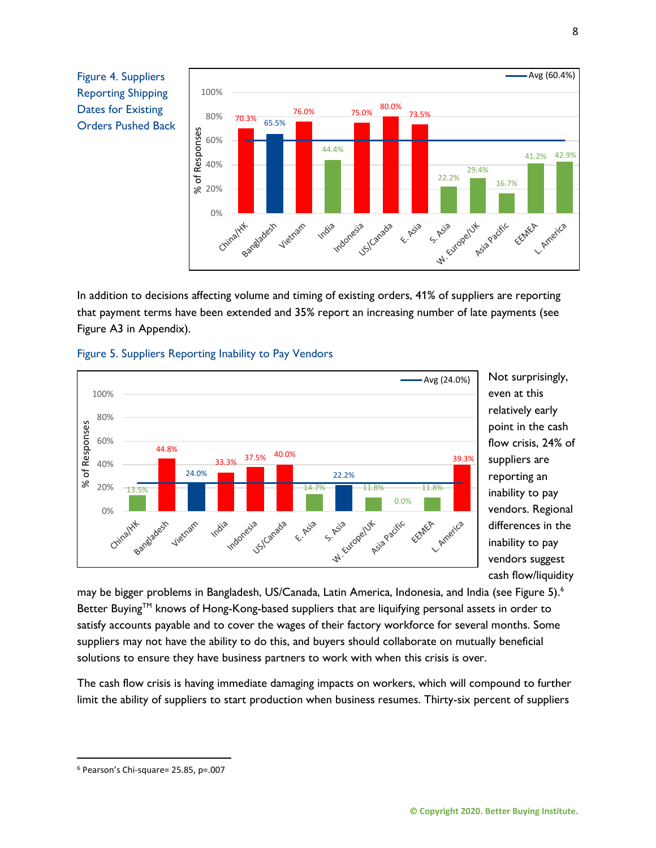Figure 4. Suppliers Reporting Shipping Dates for Existing Orders Pushed Back



In addition to decisions affecting volume and timing of existing orders, 41% of suppliers are reporting that payment terms have been extended and 35% report an increasing number of late payments (see Figure A3 in Appendix).





Not surprisingly, even at this relatively early point in the cash flow crisis, 24% of suppliers are reporting an inability to pay vendors. Regional differences in the inability to pay vendors suggest cash flow/liquidity

may be bigger problems in Bangladesh, US/Canada, Latin America, Indonesia, and India (see Figure 5).<sup>6</sup> Better Buying™ knows of Hong-Kong-based suppliers that are liquifying personal assets in order to satisfy accounts payable and to cover the wages of their factory workforce for several months. Some suppliers may not have the ability to do this, and buyers should collaborate on mutually beneficial solutions to ensure they have business partners to work with when this crisis is over.

The cash flow crisis is having immediate damaging impacts on workers, which will compound to further limit the ability of suppliers to start production when business resumes. Thirty-six percent of suppliers

<span id="page-7-0"></span><sup>6</sup> Pearson's Chi-square= 25.85, p=.007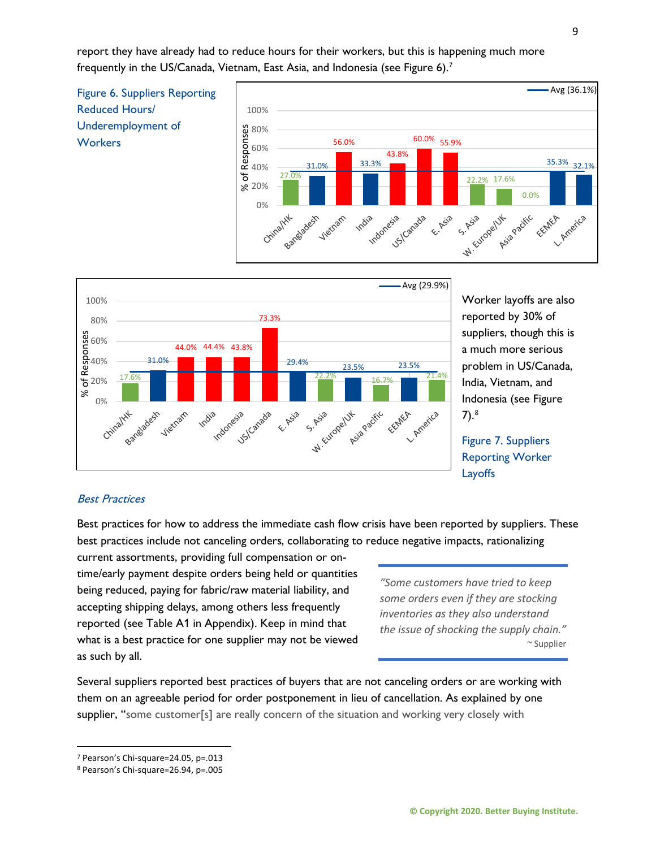report they have already had to reduce hours for their workers, but this is happening much more frequently in the US/Canada, Vietnam, East Asia, and Indonesia (see Figure 6).<sup>[7](#page-8-0)</sup>





Worker layoffs are also reported by 30% of suppliers, though this is a much more serious problem in US/Canada, India, Vietnam, and Indonesia (see Figure 7). [8](#page-8-1)

Figure 7. Suppliers Reporting Worker Layoffs

#### Best Practices

Best practices for how to address the immediate cash flow crisis have been reported by suppliers. These best practices include not canceling orders, collaborating to reduce negative impacts, rationalizing

current assortments, providing full compensation or ontime/early payment despite orders being held or quantities being reduced, paying for fabric/raw material liability, and accepting shipping delays, among others less frequently reported (see Table A1 in Appendix). Keep in mind that what is a best practice for one supplier may not be viewed as such by all.

*"Some customers have tried to keep some orders even if they are stocking inventories as they also understand the issue of shocking the supply chain."* ~ Supplier

Several suppliers reported best practices of buyers that are not canceling orders or are working with them on an agreeable period for order postponement in lieu of cancellation. As explained by one supplier, "some customer[s] are really concern of the situation and working very closely with

<span id="page-8-0"></span><sup>7</sup> Pearson's Chi-square=24.05, p=.013

<span id="page-8-1"></span><sup>8</sup> Pearson's Chi-square=26.94, p=.005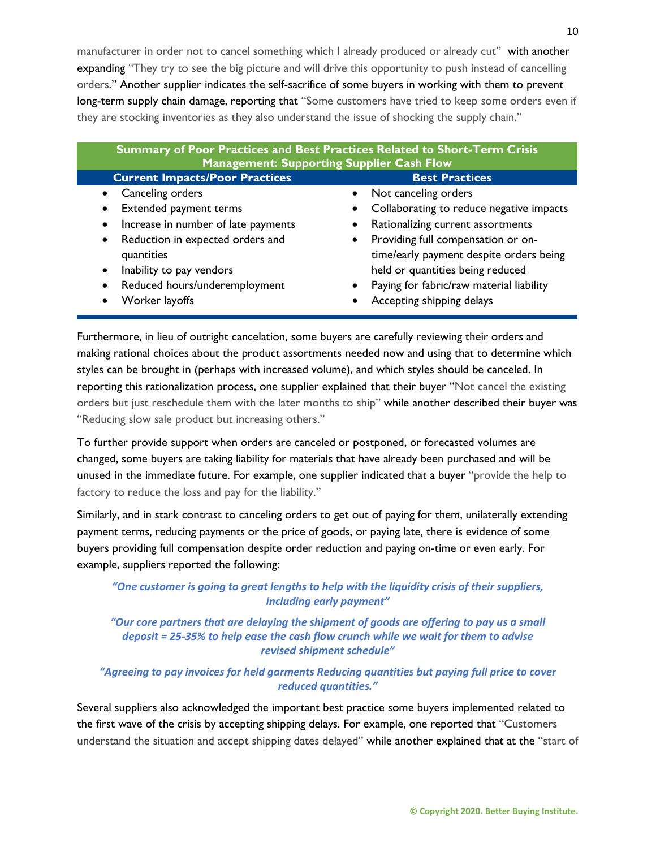manufacturer in order not to cancel something which I already produced or already cut" with another expanding "They try to see the big picture and will drive this opportunity to push instead of cancelling orders." Another supplier indicates the self-sacrifice of some buyers in working with them to prevent long-term supply chain damage, reporting that "Some customers have tried to keep some orders even if they are stocking inventories as they also understand the issue of shocking the supply chain."

| Summary of Poor Practices and Best Practices Related to Short-Term Crisis<br><b>Management: Supporting Supplier Cash Flow</b> |                                          |  |
|-------------------------------------------------------------------------------------------------------------------------------|------------------------------------------|--|
| <b>Current Impacts/Poor Practices</b>                                                                                         | <b>Best Practices</b>                    |  |
| Canceling orders                                                                                                              | • Not canceling orders                   |  |
| Extended payment terms                                                                                                        | Collaborating to reduce negative impacts |  |
| Increase in number of late payments                                                                                           | • Rationalizing current assortments      |  |
| • Reduction in expected orders and                                                                                            | • Providing full compensation or on-     |  |
| quantities                                                                                                                    | time/early payment despite orders being  |  |
| Inability to pay vendors                                                                                                      | held or quantities being reduced         |  |
| Reduced hours/underemployment                                                                                                 | Paying for fabric/raw material liability |  |
| Worker layoffs                                                                                                                | Accepting shipping delays                |  |

Furthermore, in lieu of outright cancelation, some buyers are carefully reviewing their orders and making rational choices about the product assortments needed now and using that to determine which styles can be brought in (perhaps with increased volume), and which styles should be canceled. In reporting this rationalization process, one supplier explained that their buyer "Not cancel the existing orders but just reschedule them with the later months to ship" while another described their buyer was "Reducing slow sale product but increasing others."

To further provide support when orders are canceled or postponed, or forecasted volumes are changed, some buyers are taking liability for materials that have already been purchased and will be unused in the immediate future. For example, one supplier indicated that a buyer "provide the help to factory to reduce the loss and pay for the liability."

Similarly, and in stark contrast to canceling orders to get out of paying for them, unilaterally extending payment terms, reducing payments or the price of goods, or paying late, there is evidence of some buyers providing full compensation despite order reduction and paying on-time or even early. For example, suppliers reported the following:

*"One customer is going to great lengths to help with the liquidity crisis of their suppliers, including early payment"*

*"Our core partners that are delaying the shipment of goods are offering to pay us a small deposit = 25-35% to help ease the cash flow crunch while we wait for them to advise revised shipment schedule"*

#### *"Agreeing to pay invoices for held garments Reducing quantities but paying full price to cover reduced quantities."*

Several suppliers also acknowledged the important best practice some buyers implemented related to the first wave of the crisis by accepting shipping delays. For example, one reported that "Customers understand the situation and accept shipping dates delayed" while another explained that at the "start of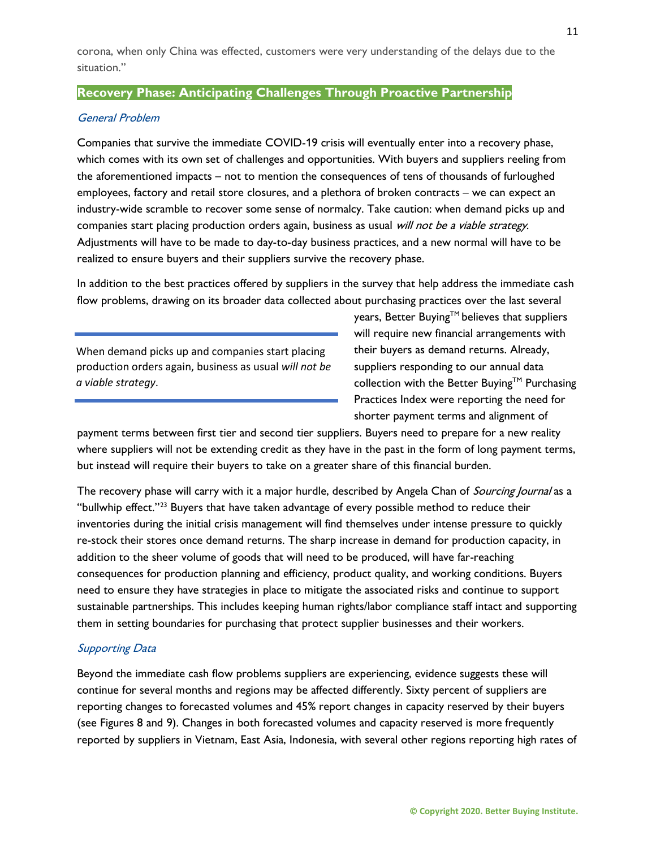corona, when only China was effected, customers were very understanding of the delays due to the situation."

#### **Recovery Phase: Anticipating Challenges Through Proactive Partnership**

#### General Problem

Companies that survive the immediate COVID-19 crisis will eventually enter into a recovery phase, which comes with its own set of challenges and opportunities. With buyers and suppliers reeling from the aforementioned impacts – not to mention the consequences of tens of thousands of furloughed employees, factory and retail store closures, and a plethora of broken contracts – we can expect an industry-wide scramble to recover some sense of normalcy. Take caution: when demand picks up and companies start placing production orders again, business as usual will not be a viable strategy. Adjustments will have to be made to day-to-day business practices, and a new normal will have to be realized to ensure buyers and their suppliers survive the recovery phase.

In addition to the best practices offered by suppliers in the survey that help address the immediate cash flow problems, drawing on its broader data collected about purchasing practices over the last several

When demand picks up and companies start placing production orders again, business as usual *will not be a viable strategy*.

years, Better Buying<sup>TM</sup> believes that suppliers will require new financial arrangements with their buyers as demand returns. Already, suppliers responding to our annual data collection with the Better Buying™ Purchasing Practices Index were reporting the need for shorter payment terms and alignment of

payment terms between first tier and second tier suppliers. Buyers need to prepare for a new reality where suppliers will not be extending credit as they have in the past in the form of long payment terms, but instead will require their buyers to take on a greater share of this financial burden.

The recovery phase will carry with it a major hurdle, described by Angela Chan of Sourcing Journal as a "bullwhip effect."<sup>[23](#page-19-7)</sup> Buyers that have taken advantage of every possible method to reduce their inventories during the initial crisis management will find themselves under intense pressure to quickly re-stock their stores once demand returns. The sharp increase in demand for production capacity, in addition to the sheer volume of goods that will need to be produced, will have far-reaching consequences for production planning and efficiency, product quality, and working conditions. Buyers need to ensure they have strategies in place to mitigate the associated risks and continue to support sustainable partnerships. This includes keeping human rights/labor compliance staff intact and supporting them in setting boundaries for purchasing that protect supplier businesses and their workers.

#### Supporting Data

Beyond the immediate cash flow problems suppliers are experiencing, evidence suggests these will continue for several months and regions may be affected differently. Sixty percent of suppliers are reporting changes to forecasted volumes and 45% report changes in capacity reserved by their buyers (see Figures 8 and 9). Changes in both forecasted volumes and capacity reserved is more frequently reported by suppliers in Vietnam, East Asia, Indonesia, with several other regions reporting high rates of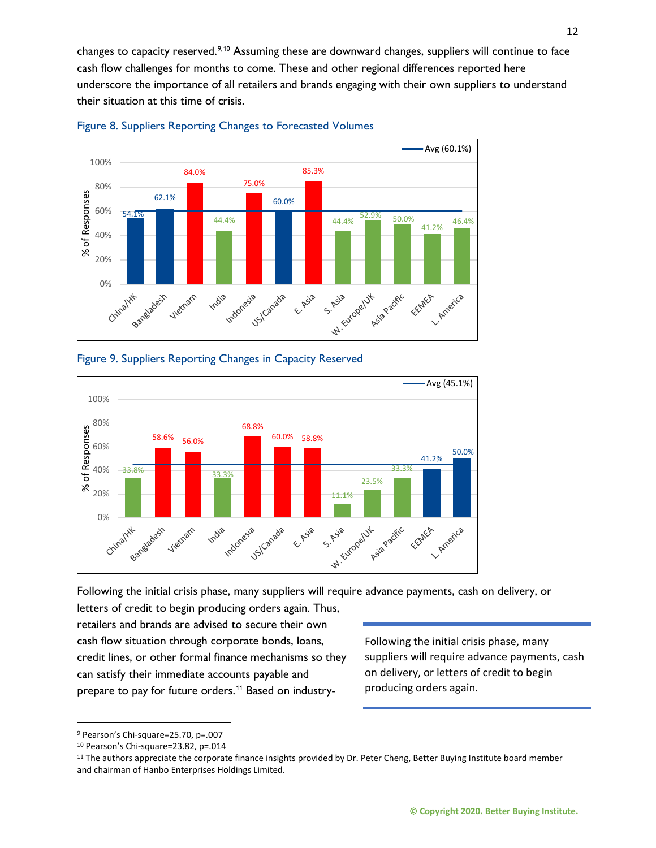changes to capacity reserved.<sup>[9](#page-11-0),[10](#page-11-1)</sup> Assuming these are downward changes, suppliers will continue to face cash flow challenges for months to come. These and other regional differences reported here underscore the importance of all retailers and brands engaging with their own suppliers to understand their situation at this time of crisis.





#### Figure 9. Suppliers Reporting Changes in Capacity Reserved



Following the initial crisis phase, many suppliers will require advance payments, cash on delivery, or

letters of credit to begin producing orders again. Thus, retailers and brands are advised to secure their own cash flow situation through corporate bonds, loans, credit lines, or other formal finance mechanisms so they can satisfy their immediate accounts payable and prepare to pay for future orders.<sup>[11](#page-11-2)</sup> Based on industry-

Following the initial crisis phase, many suppliers will require advance payments, cash on delivery, or letters of credit to begin producing orders again.

<span id="page-11-0"></span><sup>9</sup> Pearson's Chi-square=25.70, p=.007

<span id="page-11-1"></span><sup>10</sup> Pearson's Chi-square=23.82, p=.014

<span id="page-11-2"></span><sup>11</sup> The authors appreciate the corporate finance insights provided by Dr. Peter Cheng, Better Buying Institute board member and chairman of Hanbo Enterprises Holdings Limited.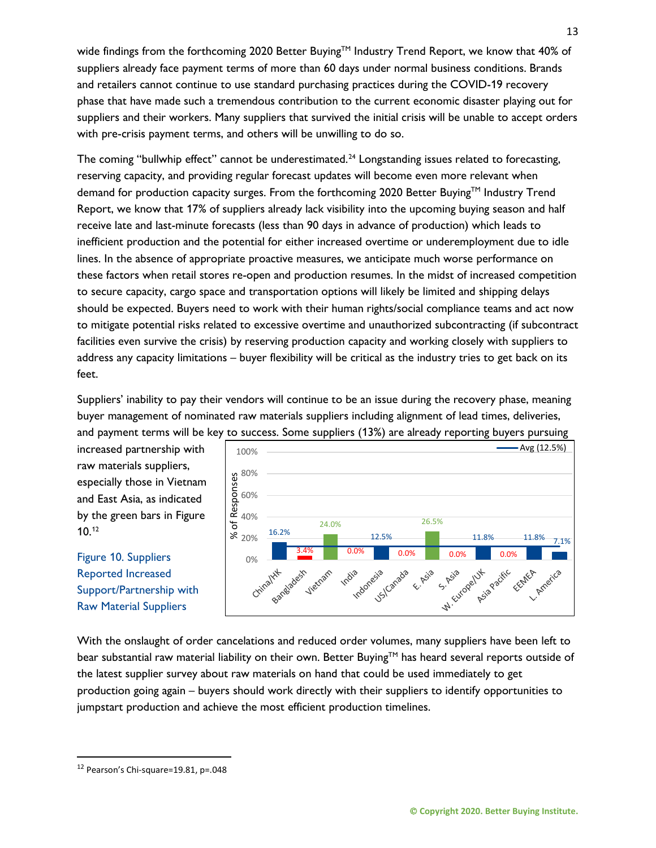wide findings from the forthcoming 2020 Better Buying<sup>TM</sup> Industry Trend Report, we know that 40% of suppliers already face payment terms of more than 60 days under normal business conditions. Brands and retailers cannot continue to use standard purchasing practices during the COVID-19 recovery phase that have made such a tremendous contribution to the current economic disaster playing out for suppliers and their workers. Many suppliers that survived the initial crisis will be unable to accept orders with pre-crisis payment terms, and others will be unwilling to do so.

The coming "bullwhip effect" cannot be underestimated.<sup>24</sup> Longstanding issues related to forecasting, reserving capacity, and providing regular forecast updates will become even more relevant when demand for production capacity surges. From the forthcoming 2020 Better Buying™ Industry Trend Report, we know that 17% of suppliers already lack visibility into the upcoming buying season and half receive late and last-minute forecasts (less than 90 days in advance of production) which leads to inefficient production and the potential for either increased overtime or underemployment due to idle lines. In the absence of appropriate proactive measures, we anticipate much worse performance on these factors when retail stores re-open and production resumes. In the midst of increased competition to secure capacity, cargo space and transportation options will likely be limited and shipping delays should be expected. Buyers need to work with their human rights/social compliance teams and act now to mitigate potential risks related to excessive overtime and unauthorized subcontracting (if subcontract facilities even survive the crisis) by reserving production capacity and working closely with suppliers to address any capacity limitations – buyer flexibility will be critical as the industry tries to get back on its feet.

Suppliers' inability to pay their vendors will continue to be an issue during the recovery phase, meaning buyer management of nominated raw materials suppliers including alignment of lead times, deliveries, and payment terms will be key to success. Some suppliers (13%) are already reporting buyers pursuing

increased partnership with raw materials suppliers, especially those in Vietnam and East Asia, as indicated by the green bars in Figure 10. [12](#page-12-0)

# Figure 10. Suppliers Reported Increased Support/Partnership with Raw Material Suppliers



With the onslaught of order cancelations and reduced order volumes, many suppliers have been left to bear substantial raw material liability on their own. Better Buying™ has heard several reports outside of the latest supplier survey about raw materials on hand that could be used immediately to get production going again – buyers should work directly with their suppliers to identify opportunities to jumpstart production and achieve the most efficient production timelines.

<span id="page-12-0"></span><sup>12</sup> Pearson's Chi-square=19.81, p=.048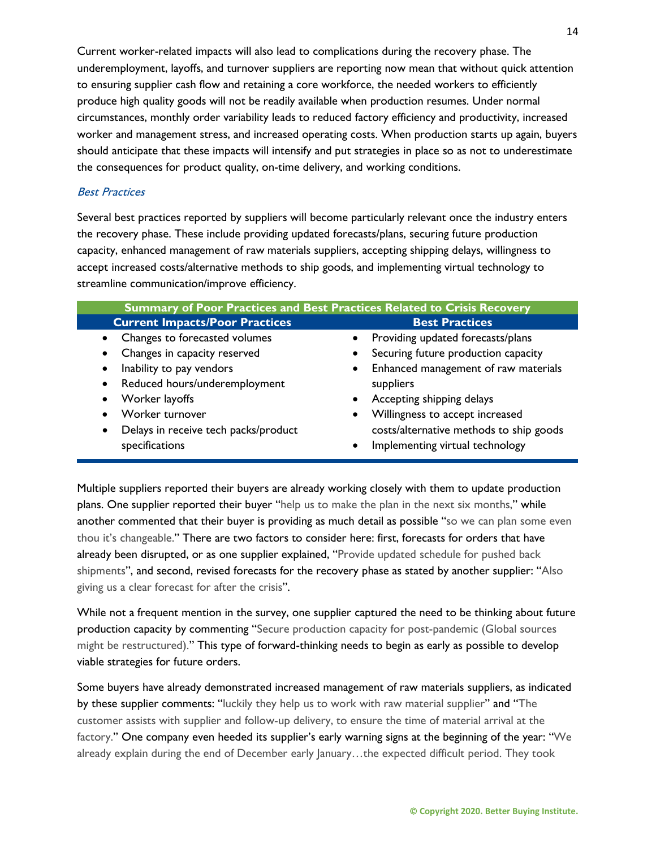Current worker-related impacts will also lead to complications during the recovery phase. The underemployment, layoffs, and turnover suppliers are reporting now mean that without quick attention to ensuring supplier cash flow and retaining a core workforce, the needed workers to efficiently produce high quality goods will not be readily available when production resumes. Under normal circumstances, monthly order variability leads to reduced factory efficiency and productivity, increased worker and management stress, and increased operating costs. When production starts up again, buyers should anticipate that these impacts will intensify and put strategies in place so as not to underestimate the consequences for product quality, on-time delivery, and working conditions.

#### Best Practices

Several best practices reported by suppliers will become particularly relevant once the industry enters the recovery phase. These include providing updated forecasts/plans, securing future production capacity, enhanced management of raw materials suppliers, accepting shipping delays, willingness to accept increased costs/alternative methods to ship goods, and implementing virtual technology to streamline communication/improve efficiency.

| Summary of Poor Practices and Best Practices Related to Crisis Recovery |                                                   |  |
|-------------------------------------------------------------------------|---------------------------------------------------|--|
| <b>Current Impacts/Poor Practices</b>                                   | <b>Best Practices</b>                             |  |
| • Changes to forecasted volumes                                         | Providing updated forecasts/plans<br>$\bullet$    |  |
| Changes in capacity reserved<br>$\bullet$                               | Securing future production capacity<br>٠          |  |
| Inability to pay vendors<br>$\bullet$                                   | Enhanced management of raw materials<br>$\bullet$ |  |
| Reduced hours/underemployment<br>$\bullet$                              | suppliers                                         |  |
| Worker layoffs                                                          | Accepting shipping delays<br>$\bullet$            |  |
| Worker turnover                                                         | Willingness to accept increased<br>$\bullet$      |  |
| Delays in receive tech packs/product<br>$\bullet$                       | costs/alternative methods to ship goods           |  |
| specifications                                                          | Implementing virtual technology<br>$\bullet$      |  |

Multiple suppliers reported their buyers are already working closely with them to update production plans. One supplier reported their buyer "help us to make the plan in the next six months," while another commented that their buyer is providing as much detail as possible "so we can plan some even thou it's changeable." There are two factors to consider here: first, forecasts for orders that have already been disrupted, or as one supplier explained, "Provide updated schedule for pushed back shipments", and second, revised forecasts for the recovery phase as stated by another supplier: "Also giving us a clear forecast for after the crisis".

While not a frequent mention in the survey, one supplier captured the need to be thinking about future production capacity by commenting "Secure production capacity for post-pandemic (Global sources might be restructured)." This type of forward-thinking needs to begin as early as possible to develop viable strategies for future orders.

Some buyers have already demonstrated increased management of raw materials suppliers, as indicated by these supplier comments: "luckily they help us to work with raw material supplier" and "The customer assists with supplier and follow-up delivery, to ensure the time of material arrival at the factory." One company even heeded its supplier's early warning signs at the beginning of the year: "We already explain during the end of December early January…the expected difficult period. They took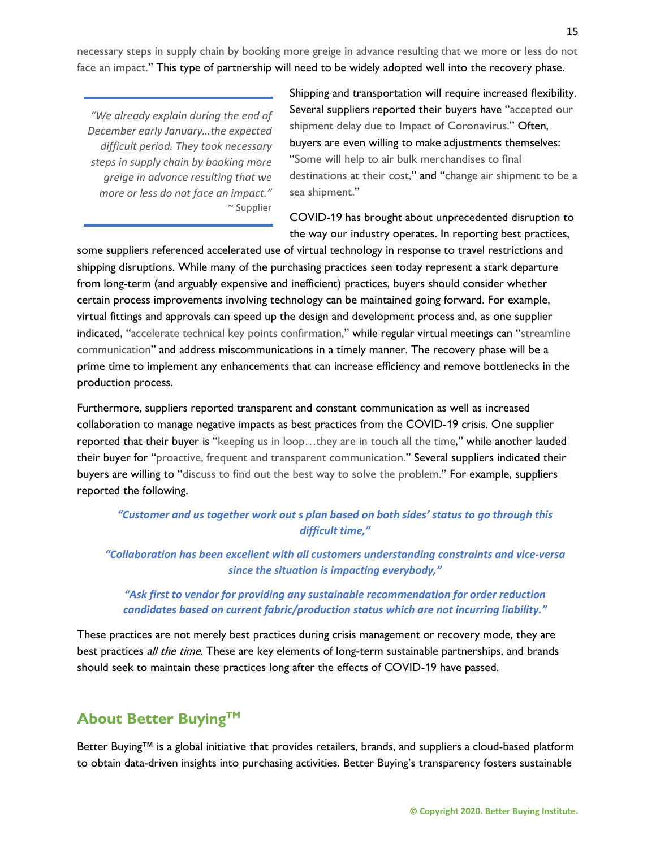necessary steps in supply chain by booking more greige in advance resulting that we more or less do not face an impact." This type of partnership will need to be widely adopted well into the recovery phase.

*"We already explain during the end of December early January…the expected difficult period. They took necessary steps in supply chain by booking more greige in advance resulting that we more or less do not face an impact."*  $\sim$  Supplier

Shipping and transportation will require increased flexibility. Several suppliers reported their buyers have "accepted our shipment delay due to Impact of Coronavirus." Often, buyers are even willing to make adjustments themselves: "Some will help to air bulk merchandises to final destinations at their cost," and "change air shipment to be a sea shipment."

COVID-19 has brought about unprecedented disruption to the way our industry operates. In reporting best practices,

some suppliers referenced accelerated use of virtual technology in response to travel restrictions and shipping disruptions. While many of the purchasing practices seen today represent a stark departure from long-term (and arguably expensive and inefficient) practices, buyers should consider whether certain process improvements involving technology can be maintained going forward. For example, virtual fittings and approvals can speed up the design and development process and, as one supplier indicated, "accelerate technical key points confirmation," while regular virtual meetings can "streamline communication" and address miscommunications in a timely manner. The recovery phase will be a prime time to implement any enhancements that can increase efficiency and remove bottlenecks in the production process.

Furthermore, suppliers reported transparent and constant communication as well as increased collaboration to manage negative impacts as best practices from the COVID-19 crisis. One supplier reported that their buyer is "keeping us in loop…they are in touch all the time," while another lauded their buyer for "proactive, frequent and transparent communication." Several suppliers indicated their buyers are willing to "discuss to find out the best way to solve the problem." For example, suppliers reported the following.

*"Customer and us together work out s plan based on both sides' status to go through this difficult time,"*

*"Collaboration has been excellent with all customers understanding constraints and vice-versa since the situation is impacting everybody,"* 

#### *"Ask first to vendor for providing any sustainable recommendation for order reduction candidates based on current fabric/production status which are not incurring liability."*

These practices are not merely best practices during crisis management or recovery mode, they are best practices *all the time*. These are key elements of long-term sustainable partnerships, and brands should seek to maintain these practices long after the effects of COVID-19 have passed.

# **About Better BuyingTM**

Better Buying™ is a global initiative that provides retailers, brands, and suppliers a cloud-based platform to obtain data-driven insights into purchasing activities. Better Buying's transparency fosters sustainable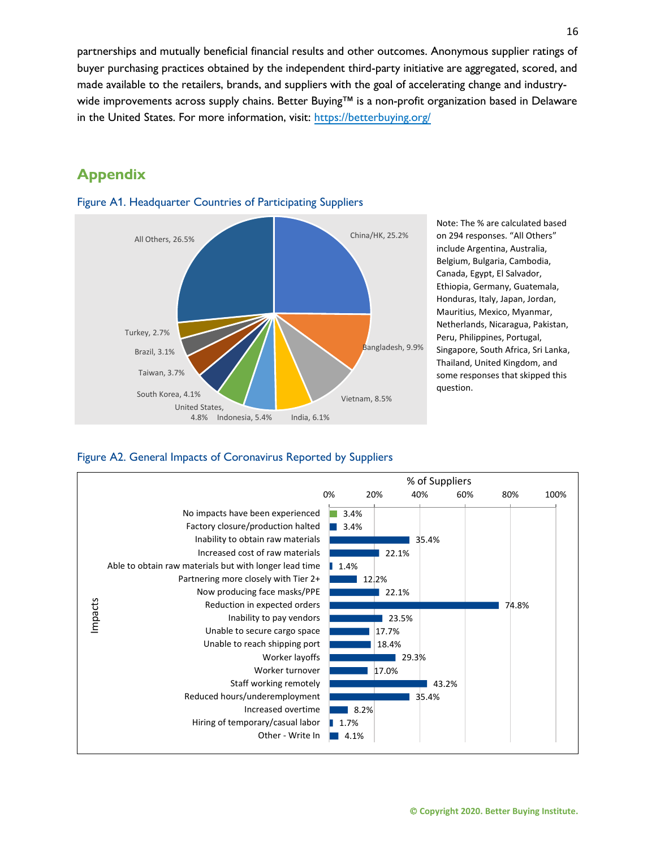partnerships and mutually beneficial financial results and other outcomes. Anonymous supplier ratings of buyer purchasing practices obtained by the independent third-party initiative are aggregated, scored, and made available to the retailers, brands, and suppliers with the goal of accelerating change and industrywide improvements across supply chains. Better Buying™ is a non-profit organization based in Delaware in the United States. For more information, visit:<https://betterbuying.org/>

# **Appendix**



Figure A1. Headquarter Countries of Participating Suppliers

Note: The % are calculated based on 294 responses. "All Others" include Argentina, Australia, Belgium, Bulgaria, Cambodia, Canada, Egypt, El Salvador, Ethiopia, Germany, Guatemala, Honduras, Italy, Japan, Jordan, Mauritius, Mexico, Myanmar, Netherlands, Nicaragua, Pakistan, Peru, Philippines, Portugal, Singapore, South Africa, Sri Lanka, Thailand, United Kingdom, and some responses that skipped this question.

Figure A2. General Impacts of Coronavirus Reported by Suppliers

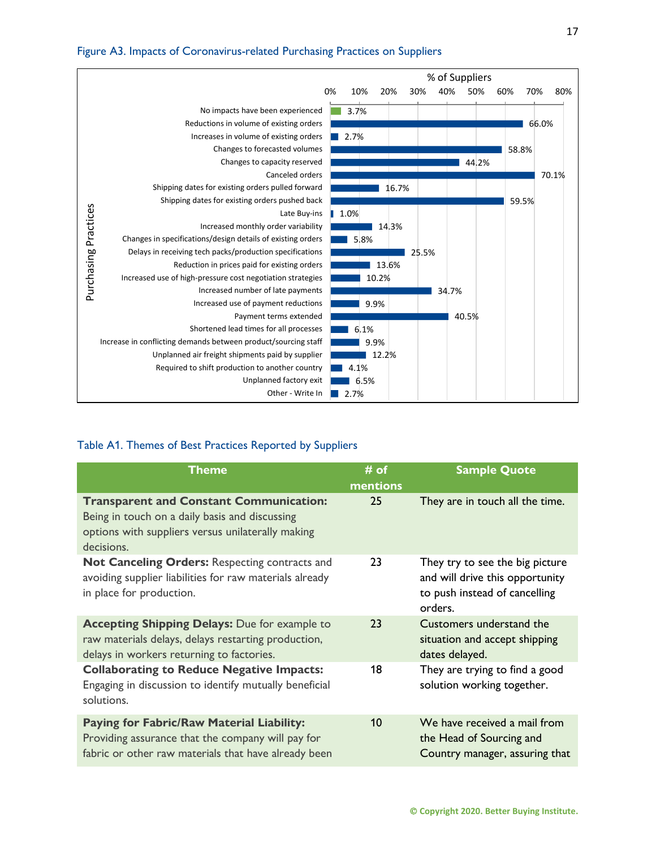#### Figure A3. Impacts of Coronavirus-related Purchasing Practices on Suppliers



#### Table A1. Themes of Best Practices Reported by Suppliers

| <b>Theme</b>                                                                                                                                                        | $#$ of<br>mentions | <b>Sample Quote</b>                                                                                            |
|---------------------------------------------------------------------------------------------------------------------------------------------------------------------|--------------------|----------------------------------------------------------------------------------------------------------------|
| <b>Transparent and Constant Communication:</b><br>Being in touch on a daily basis and discussing<br>options with suppliers versus unilaterally making<br>decisions. | 25                 | They are in touch all the time.                                                                                |
| Not Canceling Orders: Respecting contracts and<br>avoiding supplier liabilities for raw materials already<br>in place for production.                               | 23                 | They try to see the big picture<br>and will drive this opportunity<br>to push instead of cancelling<br>orders. |
| <b>Accepting Shipping Delays: Due for example to</b><br>raw materials delays, delays restarting production,<br>delays in workers returning to factories.            | 23                 | Customers understand the<br>situation and accept shipping<br>dates delayed.                                    |
| <b>Collaborating to Reduce Negative Impacts:</b><br>Engaging in discussion to identify mutually beneficial<br>solutions.                                            | 18                 | They are trying to find a good<br>solution working together.                                                   |
| <b>Paying for Fabric/Raw Material Liability:</b><br>Providing assurance that the company will pay for<br>fabric or other raw materials that have already been       | 10                 | We have received a mail from<br>the Head of Sourcing and<br>Country manager, assuring that                     |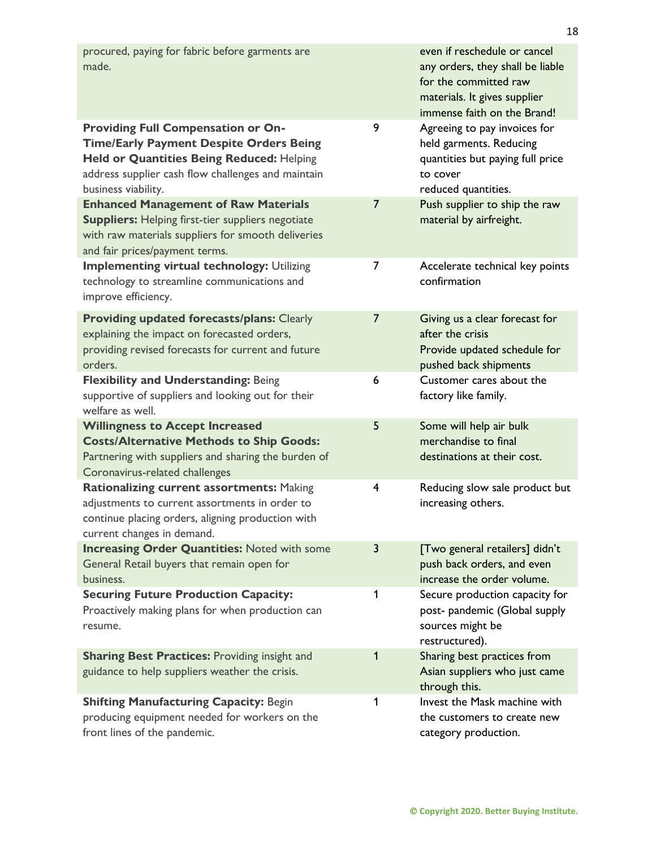| procured, paying for fabric before garments are<br>made.                                                                                                                                                              |                | even if reschedule or cancel<br>any orders, they shall be liable<br>for the committed raw<br>materials. It gives supplier<br>immense faith on the Brand! |
|-----------------------------------------------------------------------------------------------------------------------------------------------------------------------------------------------------------------------|----------------|----------------------------------------------------------------------------------------------------------------------------------------------------------|
| <b>Providing Full Compensation or On-</b><br><b>Time/Early Payment Despite Orders Being</b><br>Held or Quantities Being Reduced: Helping<br>address supplier cash flow challenges and maintain<br>business viability. | 9              | Agreeing to pay invoices for<br>held garments. Reducing<br>quantities but paying full price<br>to cover<br>reduced quantities.                           |
| <b>Enhanced Management of Raw Materials</b><br><b>Suppliers:</b> Helping first-tier suppliers negotiate<br>with raw materials suppliers for smooth deliveries<br>and fair prices/payment terms.                       | $\overline{7}$ | Push supplier to ship the raw<br>material by airfreight.                                                                                                 |
| <b>Implementing virtual technology: Utilizing</b><br>technology to streamline communications and<br>improve efficiency.                                                                                               | 7              | Accelerate technical key points<br>confirmation                                                                                                          |
| <b>Providing updated forecasts/plans: Clearly</b><br>explaining the impact on forecasted orders,<br>providing revised forecasts for current and future<br>orders.                                                     | 7              | Giving us a clear forecast for<br>after the crisis<br>Provide updated schedule for<br>pushed back shipments                                              |
| <b>Flexibility and Understanding: Being</b><br>supportive of suppliers and looking out for their<br>welfare as well.                                                                                                  | 6              | Customer cares about the<br>factory like family.                                                                                                         |
| <b>Willingness to Accept Increased</b><br><b>Costs/Alternative Methods to Ship Goods:</b><br>Partnering with suppliers and sharing the burden of<br>Coronavirus-related challenges                                    | 5              | Some will help air bulk<br>merchandise to final<br>destinations at their cost.                                                                           |
| Rationalizing current assortments: Making<br>adjustments to current assortments in order to<br>continue placing orders, aligning production with<br>current changes in demand.                                        | 4              | Reducing slow sale product but<br>increasing others.                                                                                                     |
| <b>Increasing Order Quantities: Noted with some</b><br>General Retail buyers that remain open for<br>business.                                                                                                        | 3              | [Two general retailers] didn't<br>push back orders, and even<br>increase the order volume.                                                               |
| <b>Securing Future Production Capacity:</b><br>Proactively making plans for when production can<br>resume.                                                                                                            | 1              | Secure production capacity for<br>post- pandemic (Global supply<br>sources might be<br>restructured).                                                    |
| <b>Sharing Best Practices: Providing insight and</b><br>guidance to help suppliers weather the crisis.                                                                                                                | 1              | Sharing best practices from<br>Asian suppliers who just came<br>through this.                                                                            |
| <b>Shifting Manufacturing Capacity: Begin</b><br>producing equipment needed for workers on the<br>front lines of the pandemic.                                                                                        | 1              | Invest the Mask machine with<br>the customers to create new<br>category production.                                                                      |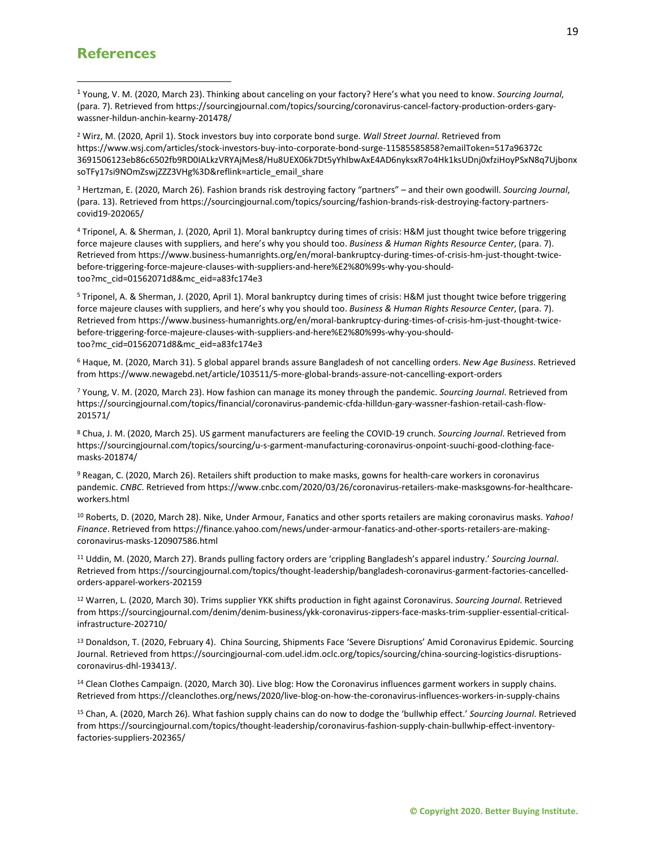# **References**

<span id="page-18-0"></span><sup>1</sup> Young, V. M. (2020, March 23). Thinking about canceling on your factory? Here's what you need to know. *Sourcing Journal*, (para. 7). Retrieved from https://sourcingjournal.com/topics/sourcing/coronavirus-cancel-factory-production-orders-garywassner-hildun-anchin-kearny-201478/

<span id="page-18-1"></span><sup>2</sup> Wirz, M. (2020, April 1). Stock investors buy into corporate bond surge. *Wall Street Journal*. Retrieved from https://www.wsj.com/articles/stock-investors-buy-into-corporate-bond-surge-11585585858?emailToken=517a96372c 3691506123eb86c6502fb9RD0IALkzVRYAjMes8/Hu8UEX06k7Dt5yYhIbwAxE4AD6nyksxR7o4Hk1ksUDnj0xfziHoyPSxN8q7Ujbonx soTFy17si9NOmZswjZZZ3VHg%3D&reflink=article\_email\_share

<span id="page-18-2"></span><sup>3</sup> Hertzman, E. (2020, March 26). Fashion brands risk destroying factory "partners" – and their own goodwill. *Sourcing Journal*, (para. 13). Retrieved from https://sourcingjournal.com/topics/sourcing/fashion-brands-risk-destroying-factory-partnerscovid19-202065/

<span id="page-18-3"></span><sup>4</sup> Triponel, A. & Sherman, J. (2020, April 1). Moral bankruptcy during times of crisis: H&M just thought twice before triggering force majeure clauses with suppliers, and here's why you should too. *Business & Human Rights Resource Center*, (para. 7). Retrieved from https://www.business-humanrights.org/en/moral-bankruptcy-during-times-of-crisis-hm-just-thought-twicebefore-triggering-force-majeure-clauses-with-suppliers-and-here%E2%80%99s-why-you-shouldtoo?mc\_cid=01562071d8&mc\_eid=a83fc174e3

<span id="page-18-4"></span><sup>5</sup> Triponel, A. & Sherman, J. (2020, April 1). Moral bankruptcy during times of crisis: H&M just thought twice before triggering force majeure clauses with suppliers, and here's why you should too. *Business & Human Rights Resource Center*, (para. 7). Retrieved from https://www.business-humanrights.org/en/moral-bankruptcy-during-times-of-crisis-hm-just-thought-twicebefore-triggering-force-majeure-clauses-with-suppliers-and-here%E2%80%99s-why-you-shouldtoo?mc\_cid=01562071d8&mc\_eid=a83fc174e3

<span id="page-18-5"></span><sup>6</sup> Haque, M. (2020, March 31). 5 global apparel brands assure Bangladesh of not cancelling orders. *New Age Business*. Retrieved from https://www.newagebd.net/article/103511/5-more-global-brands-assure-not-cancelling-export-orders

<span id="page-18-6"></span><sup>7</sup> Young, V. M. (2020, March 23). How fashion can manage its money through the pandemic. *Sourcing Journal*. Retrieved from https://sourcingjournal.com/topics/financial/coronavirus-pandemic-cfda-hilldun-gary-wassner-fashion-retail-cash-flow-201571/

<span id="page-18-7"></span><sup>8</sup> Chua, J. M. (2020, March 25). US garment manufacturers are feeling the COVID-19 crunch. *Sourcing Journal*. Retrieved from https://sourcingjournal.com/topics/sourcing/u-s-garment-manufacturing-coronavirus-onpoint-suuchi-good-clothing-facemasks-201874/

<span id="page-18-8"></span><sup>9</sup> Reagan, C. (2020, March 26). Retailers shift production to make masks, gowns for health-care workers in coronavirus pandemic. *CNBC*. Retrieved from https://www.cnbc.com/2020/03/26/coronavirus-retailers-make-masksgowns-for-healthcareworkers.html

<span id="page-18-9"></span><sup>10</sup> Roberts, D. (2020, March 28). Nike, Under Armour, Fanatics and other sports retailers are making coronavirus masks. *Yahoo! Finance*. Retrieved from https://finance.yahoo.com/news/under-armour-fanatics-and-other-sports-retailers-are-makingcoronavirus-masks-120907586.html

<span id="page-18-10"></span><sup>11</sup> Uddin, M. (2020, March 27). Brands pulling factory orders are 'crippling Bangladesh's apparel industry.' *Sourcing Journal*. Retrieved from https://sourcingjournal.com/topics/thought-leadership/bangladesh-coronavirus-garment-factories-cancelledorders-apparel-workers-202159

<span id="page-18-11"></span><sup>12</sup> Warren, L. (2020, March 30). Trims supplier YKK shifts production in fight against Coronavirus. *Sourcing Journal*. Retrieved from https://sourcingjournal.com/denim/denim-business/ykk-coronavirus-zippers-face-masks-trim-supplier-essential-criticalinfrastructure-202710/

<span id="page-18-12"></span><sup>13</sup> Donaldson, T. (2020, February 4). China Sourcing, Shipments Face 'Severe Disruptions' Amid Coronavirus Epidemic. Sourcing Journal. Retrieved from https://sourcingjournal-com.udel.idm.oclc.org/topics/sourcing/china-sourcing-logistics-disruptionscoronavirus-dhl-193413/.

<span id="page-18-13"></span><sup>14</sup> Clean Clothes Campaign. (2020, March 30). Live blog: How the Coronavirus influences garment workers in supply chains. Retrieved from https://cleanclothes.org/news/2020/live-blog-on-how-the-coronavirus-influences-workers-in-supply-chains

<span id="page-18-14"></span><sup>15</sup> Chan, A. (2020, March 26). What fashion supply chains can do now to dodge the 'bullwhip effect.' *Sourcing Journal*. Retrieved from https://sourcingjournal.com/topics/thought-leadership/coronavirus-fashion-supply-chain-bullwhip-effect-inventoryfactories-suppliers-202365/